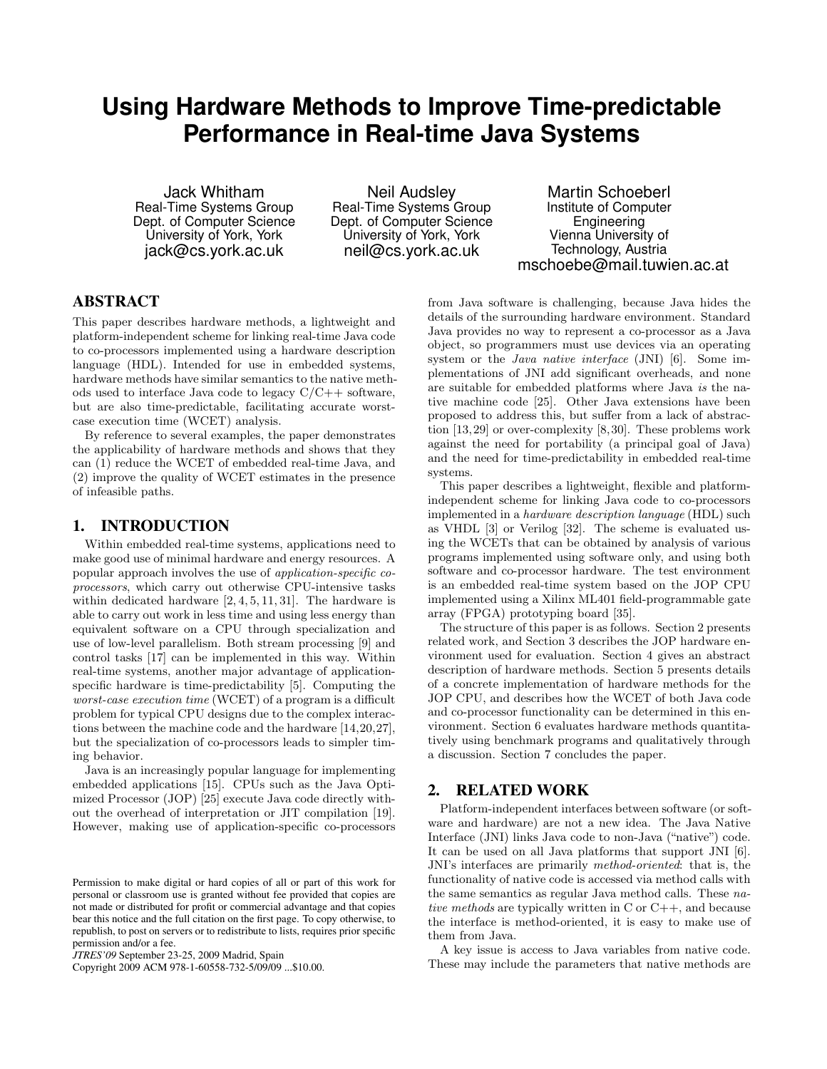# **Using Hardware Methods to Improve Time-predictable Performance in Real-time Java Systems**

Jack Whitham Real-Time Systems Group Dept. of Computer Science University of York, York jack@cs.york.ac.uk

Neil Audsley Real-Time Systems Group Dept. of Computer Science University of York, York neil@cs.york.ac.uk

Martin Schoeberl Institute of Computer Engineering Vienna University of Technology, Austria mschoebe@mail.tuwien.ac.at

### ABSTRACT

This paper describes hardware methods, a lightweight and platform-independent scheme for linking real-time Java code to co-processors implemented using a hardware description language (HDL). Intended for use in embedded systems, hardware methods have similar semantics to the native methods used to interface Java code to legacy C/C++ software, but are also time-predictable, facilitating accurate worstcase execution time (WCET) analysis.

By reference to several examples, the paper demonstrates the applicability of hardware methods and shows that they can (1) reduce the WCET of embedded real-time Java, and (2) improve the quality of WCET estimates in the presence of infeasible paths.

#### 1. INTRODUCTION

Within embedded real-time systems, applications need to make good use of minimal hardware and energy resources. A popular approach involves the use of application-specific coprocessors, which carry out otherwise CPU-intensive tasks within dedicated hardware  $[2, 4, 5, 11, 31]$ . The hardware is able to carry out work in less time and using less energy than equivalent software on a CPU through specialization and use of low-level parallelism. Both stream processing [9] and control tasks [17] can be implemented in this way. Within real-time systems, another major advantage of applicationspecific hardware is time-predictability [5]. Computing the worst-case execution time (WCET) of a program is a difficult problem for typical CPU designs due to the complex interactions between the machine code and the hardware [14,20,27], but the specialization of co-processors leads to simpler timing behavior.

Java is an increasingly popular language for implementing embedded applications [15]. CPUs such as the Java Optimized Processor (JOP) [25] execute Java code directly without the overhead of interpretation or JIT compilation [19]. However, making use of application-specific co-processors

Copyright 2009 ACM 978-1-60558-732-5/09/09 ...\$10.00.

from Java software is challenging, because Java hides the details of the surrounding hardware environment. Standard Java provides no way to represent a co-processor as a Java object, so programmers must use devices via an operating system or the Java native interface (JNI) [6]. Some implementations of JNI add significant overheads, and none are suitable for embedded platforms where Java is the native machine code [25]. Other Java extensions have been proposed to address this, but suffer from a lack of abstraction [13,29] or over-complexity [8,30]. These problems work against the need for portability (a principal goal of Java) and the need for time-predictability in embedded real-time systems.

This paper describes a lightweight, flexible and platformindependent scheme for linking Java code to co-processors implemented in a hardware description language (HDL) such as VHDL [3] or Verilog [32]. The scheme is evaluated using the WCETs that can be obtained by analysis of various programs implemented using software only, and using both software and co-processor hardware. The test environment is an embedded real-time system based on the JOP CPU implemented using a Xilinx ML401 field-programmable gate array (FPGA) prototyping board [35].

The structure of this paper is as follows. Section 2 presents related work, and Section 3 describes the JOP hardware environment used for evaluation. Section 4 gives an abstract description of hardware methods. Section 5 presents details of a concrete implementation of hardware methods for the JOP CPU, and describes how the WCET of both Java code and co-processor functionality can be determined in this environment. Section 6 evaluates hardware methods quantitatively using benchmark programs and qualitatively through a discussion. Section 7 concludes the paper.

# 2. RELATED WORK

Platform-independent interfaces between software (or software and hardware) are not a new idea. The Java Native Interface (JNI) links Java code to non-Java ("native") code. It can be used on all Java platforms that support JNI [6]. JNI's interfaces are primarily method-oriented: that is, the functionality of native code is accessed via method calls with the same semantics as regular Java method calls. These native methods are typically written in C or C++, and because the interface is method-oriented, it is easy to make use of them from Java.

A key issue is access to Java variables from native code. These may include the parameters that native methods are

Permission to make digital or hard copies of all or part of this work for personal or classroom use is granted without fee provided that copies are not made or distributed for profit or commercial advantage and that copies bear this notice and the full citation on the first page. To copy otherwise, to republish, to post on servers or to redistribute to lists, requires prior specific permission and/or a fee.

*JTRES'09* September 23-25, 2009 Madrid, Spain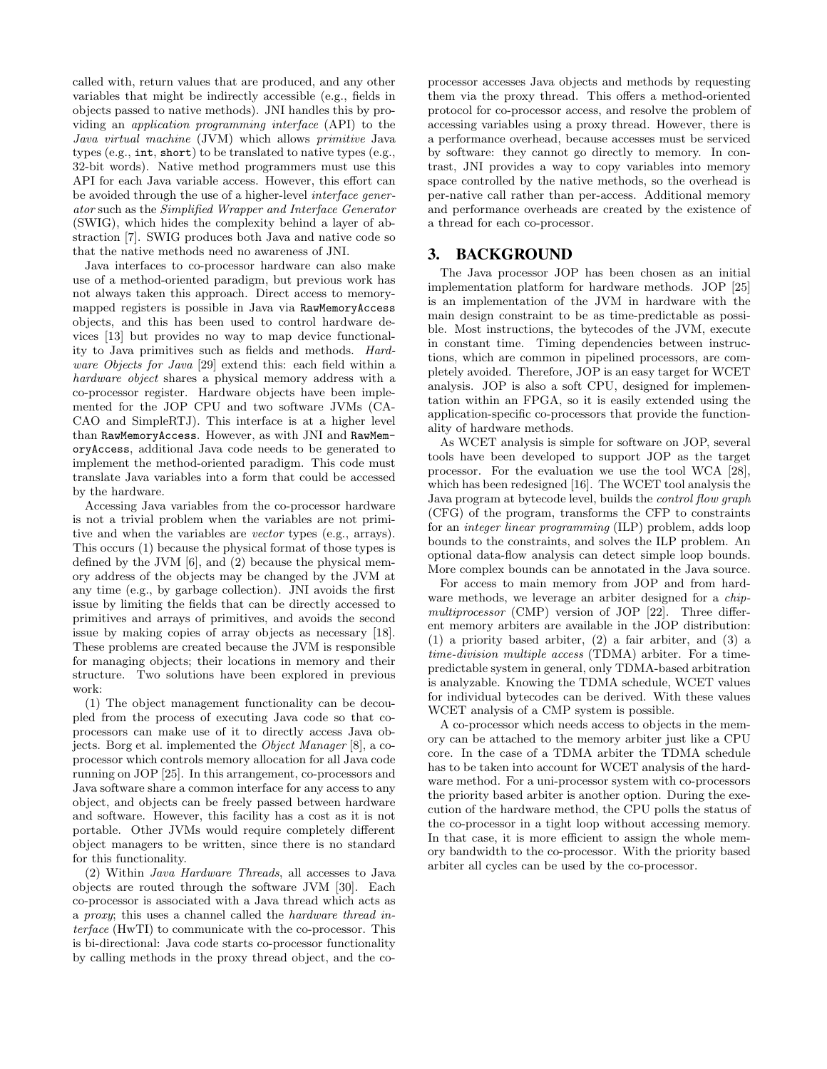called with, return values that are produced, and any other variables that might be indirectly accessible (e.g., fields in objects passed to native methods). JNI handles this by providing an application programming interface (API) to the Java virtual machine (JVM) which allows primitive Java types (e.g., int, short) to be translated to native types (e.g., 32-bit words). Native method programmers must use this API for each Java variable access. However, this effort can be avoided through the use of a higher-level interface generator such as the Simplified Wrapper and Interface Generator (SWIG), which hides the complexity behind a layer of abstraction [7]. SWIG produces both Java and native code so that the native methods need no awareness of JNI.

Java interfaces to co-processor hardware can also make use of a method-oriented paradigm, but previous work has not always taken this approach. Direct access to memorymapped registers is possible in Java via RawMemoryAccess objects, and this has been used to control hardware devices [13] but provides no way to map device functionality to Java primitives such as fields and methods. Hardware Objects for Java [29] extend this: each field within a hardware object shares a physical memory address with a co-processor register. Hardware objects have been implemented for the JOP CPU and two software JVMs (CA-CAO and SimpleRTJ). This interface is at a higher level than RawMemoryAccess. However, as with JNI and RawMemoryAccess, additional Java code needs to be generated to implement the method-oriented paradigm. This code must translate Java variables into a form that could be accessed by the hardware.

Accessing Java variables from the co-processor hardware is not a trivial problem when the variables are not primitive and when the variables are vector types (e.g., arrays). This occurs (1) because the physical format of those types is defined by the JVM [6], and (2) because the physical memory address of the objects may be changed by the JVM at any time (e.g., by garbage collection). JNI avoids the first issue by limiting the fields that can be directly accessed to primitives and arrays of primitives, and avoids the second issue by making copies of array objects as necessary [18]. These problems are created because the JVM is responsible for managing objects; their locations in memory and their structure. Two solutions have been explored in previous work:

(1) The object management functionality can be decoupled from the process of executing Java code so that coprocessors can make use of it to directly access Java objects. Borg et al. implemented the Object Manager [8], a coprocessor which controls memory allocation for all Java code running on JOP [25]. In this arrangement, co-processors and Java software share a common interface for any access to any object, and objects can be freely passed between hardware and software. However, this facility has a cost as it is not portable. Other JVMs would require completely different object managers to be written, since there is no standard for this functionality.

(2) Within Java Hardware Threads, all accesses to Java objects are routed through the software JVM [30]. Each co-processor is associated with a Java thread which acts as a proxy; this uses a channel called the hardware thread interface (HwTI) to communicate with the co-processor. This is bi-directional: Java code starts co-processor functionality by calling methods in the proxy thread object, and the coprocessor accesses Java objects and methods by requesting them via the proxy thread. This offers a method-oriented protocol for co-processor access, and resolve the problem of accessing variables using a proxy thread. However, there is a performance overhead, because accesses must be serviced by software: they cannot go directly to memory. In contrast, JNI provides a way to copy variables into memory space controlled by the native methods, so the overhead is per-native call rather than per-access. Additional memory and performance overheads are created by the existence of a thread for each co-processor.

# 3. BACKGROUND

The Java processor JOP has been chosen as an initial implementation platform for hardware methods. JOP [25] is an implementation of the JVM in hardware with the main design constraint to be as time-predictable as possible. Most instructions, the bytecodes of the JVM, execute in constant time. Timing dependencies between instructions, which are common in pipelined processors, are completely avoided. Therefore, JOP is an easy target for WCET analysis. JOP is also a soft CPU, designed for implementation within an FPGA, so it is easily extended using the application-specific co-processors that provide the functionality of hardware methods.

As WCET analysis is simple for software on JOP, several tools have been developed to support JOP as the target processor. For the evaluation we use the tool WCA [28], which has been redesigned [16]. The WCET tool analysis the Java program at bytecode level, builds the control flow graph (CFG) of the program, transforms the CFP to constraints for an integer linear programming (ILP) problem, adds loop bounds to the constraints, and solves the ILP problem. An optional data-flow analysis can detect simple loop bounds. More complex bounds can be annotated in the Java source.

For access to main memory from JOP and from hardware methods, we leverage an arbiter designed for a *chip*multiprocessor (CMP) version of JOP [22]. Three different memory arbiters are available in the JOP distribution: (1) a priority based arbiter, (2) a fair arbiter, and (3) a time-division multiple access (TDMA) arbiter. For a timepredictable system in general, only TDMA-based arbitration is analyzable. Knowing the TDMA schedule, WCET values for individual bytecodes can be derived. With these values WCET analysis of a CMP system is possible.

A co-processor which needs access to objects in the memory can be attached to the memory arbiter just like a CPU core. In the case of a TDMA arbiter the TDMA schedule has to be taken into account for WCET analysis of the hardware method. For a uni-processor system with co-processors the priority based arbiter is another option. During the execution of the hardware method, the CPU polls the status of the co-processor in a tight loop without accessing memory. In that case, it is more efficient to assign the whole memory bandwidth to the co-processor. With the priority based arbiter all cycles can be used by the co-processor.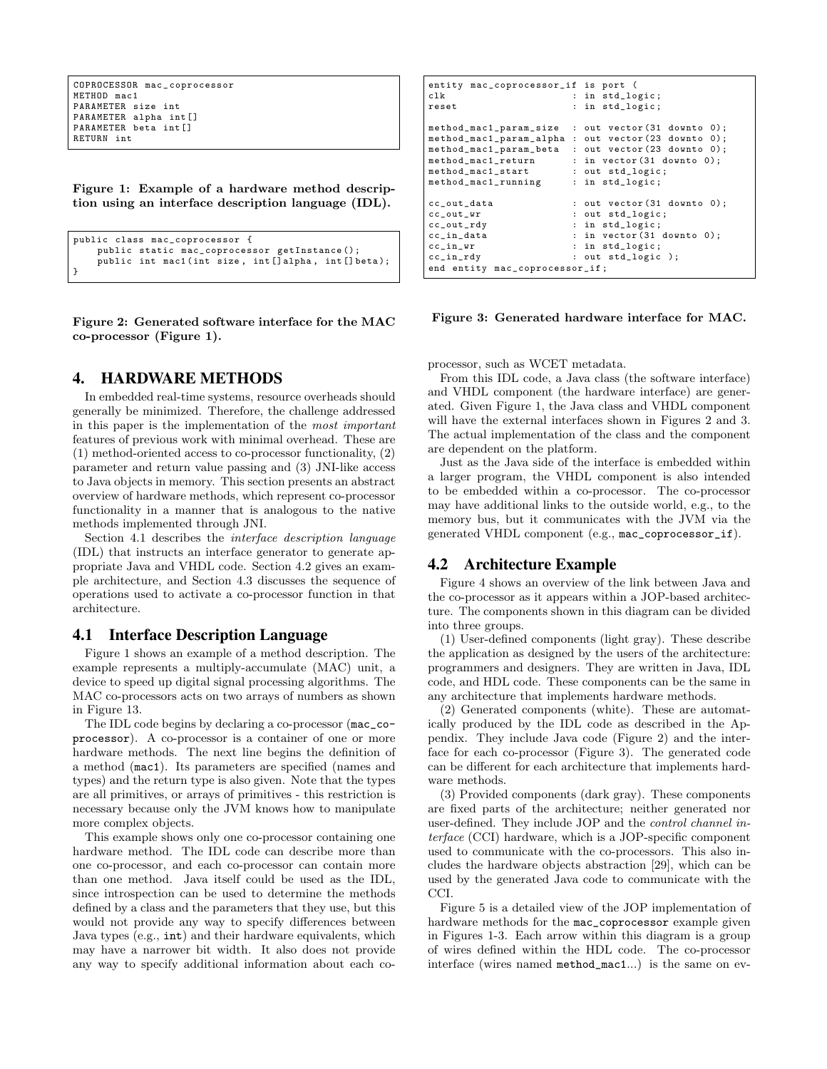```
COPROCESSOR mac _ coprocessor
METHOD mac1
PARAMETER size int
PARAMETER alpha int []
PARAMETER beta int []
RETURN int
```
Figure 1: Example of a hardware method description using an interface description language (IDL).

```
public class mac_coprocessor {
    public static mac_coprocessor getInstance ();
    public int mac1(int size, int[]alpha, int[]beta);
}
```
Figure 2: Generated software interface for the MAC co-processor (Figure 1).

### 4. HARDWARE METHODS

In embedded real-time systems, resource overheads should generally be minimized. Therefore, the challenge addressed in this paper is the implementation of the most important features of previous work with minimal overhead. These are (1) method-oriented access to co-processor functionality, (2) parameter and return value passing and (3) JNI-like access to Java objects in memory. This section presents an abstract overview of hardware methods, which represent co-processor functionality in a manner that is analogous to the native methods implemented through JNI.

Section 4.1 describes the interface description language (IDL) that instructs an interface generator to generate appropriate Java and VHDL code. Section 4.2 gives an example architecture, and Section 4.3 discusses the sequence of operations used to activate a co-processor function in that architecture.

# 4.1 Interface Description Language

Figure 1 shows an example of a method description. The example represents a multiply-accumulate (MAC) unit, a device to speed up digital signal processing algorithms. The MAC co-processors acts on two arrays of numbers as shown in Figure 13.

The IDL code begins by declaring a co-processor (mac\_coprocessor). A co-processor is a container of one or more hardware methods. The next line begins the definition of a method (mac1). Its parameters are specified (names and types) and the return type is also given. Note that the types are all primitives, or arrays of primitives - this restriction is necessary because only the JVM knows how to manipulate more complex objects.

This example shows only one co-processor containing one hardware method. The IDL code can describe more than one co-processor, and each co-processor can contain more than one method. Java itself could be used as the IDL, since introspection can be used to determine the methods defined by a class and the parameters that they use, but this would not provide any way to specify differences between Java types (e.g., int) and their hardware equivalents, which may have a narrower bit width. It also does not provide any way to specify additional information about each co-

| entity mac_coprocessor_if is port (<br>clk<br>reset                                                                                                                       | : in std_logic;<br>: in std_logic;                                                                                                                   |
|---------------------------------------------------------------------------------------------------------------------------------------------------------------------------|------------------------------------------------------------------------------------------------------------------------------------------------------|
| method_mac1_param_size<br>method_mac1_param_alpha : out vector (23 downto 0);<br>method_mac1_param_beta<br>method_mac1_return<br>method_mac1_start<br>method_mac1_running | : out $vector(31$ downto $0)$ ;<br>: out $vector(23$ downto $0)$ ;<br>: in $vector(31$ downto $0)$ ;<br>: out std_logic;<br>: in std_logic;          |
| cc_out_data<br>$cc_$ out_wr<br>cc_out_rdy<br>$cc_in_data$<br>$cc_in_wr$<br>$cc\_in\_rdv$<br>end entity mac_coprocessor_if;                                                | : out $vector(31$ downto $0)$ ;<br>: out std_logic;<br>: in std_logic;<br>: in $vector(31$ downto $0)$ ;<br>: in std_logic;<br>: out $std\_logic$ ); |

Figure 3: Generated hardware interface for MAC.

processor, such as WCET metadata.

From this IDL code, a Java class (the software interface) and VHDL component (the hardware interface) are generated. Given Figure 1, the Java class and VHDL component will have the external interfaces shown in Figures 2 and 3. The actual implementation of the class and the component are dependent on the platform.

Just as the Java side of the interface is embedded within a larger program, the VHDL component is also intended to be embedded within a co-processor. The co-processor may have additional links to the outside world, e.g., to the memory bus, but it communicates with the JVM via the generated VHDL component (e.g., mac\_coprocessor\_if).

#### 4.2 Architecture Example

Figure 4 shows an overview of the link between Java and the co-processor as it appears within a JOP-based architecture. The components shown in this diagram can be divided into three groups.

(1) User-defined components (light gray). These describe the application as designed by the users of the architecture: programmers and designers. They are written in Java, IDL code, and HDL code. These components can be the same in any architecture that implements hardware methods.

(2) Generated components (white). These are automatically produced by the IDL code as described in the Appendix. They include Java code (Figure 2) and the interface for each co-processor (Figure 3). The generated code can be different for each architecture that implements hardware methods.

(3) Provided components (dark gray). These components are fixed parts of the architecture; neither generated nor user-defined. They include JOP and the control channel interface (CCI) hardware, which is a JOP-specific component used to communicate with the co-processors. This also includes the hardware objects abstraction [29], which can be used by the generated Java code to communicate with the CCI.

Figure 5 is a detailed view of the JOP implementation of hardware methods for the mac\_coprocessor example given in Figures 1-3. Each arrow within this diagram is a group of wires defined within the HDL code. The co-processor interface (wires named method\_mac1...) is the same on ev-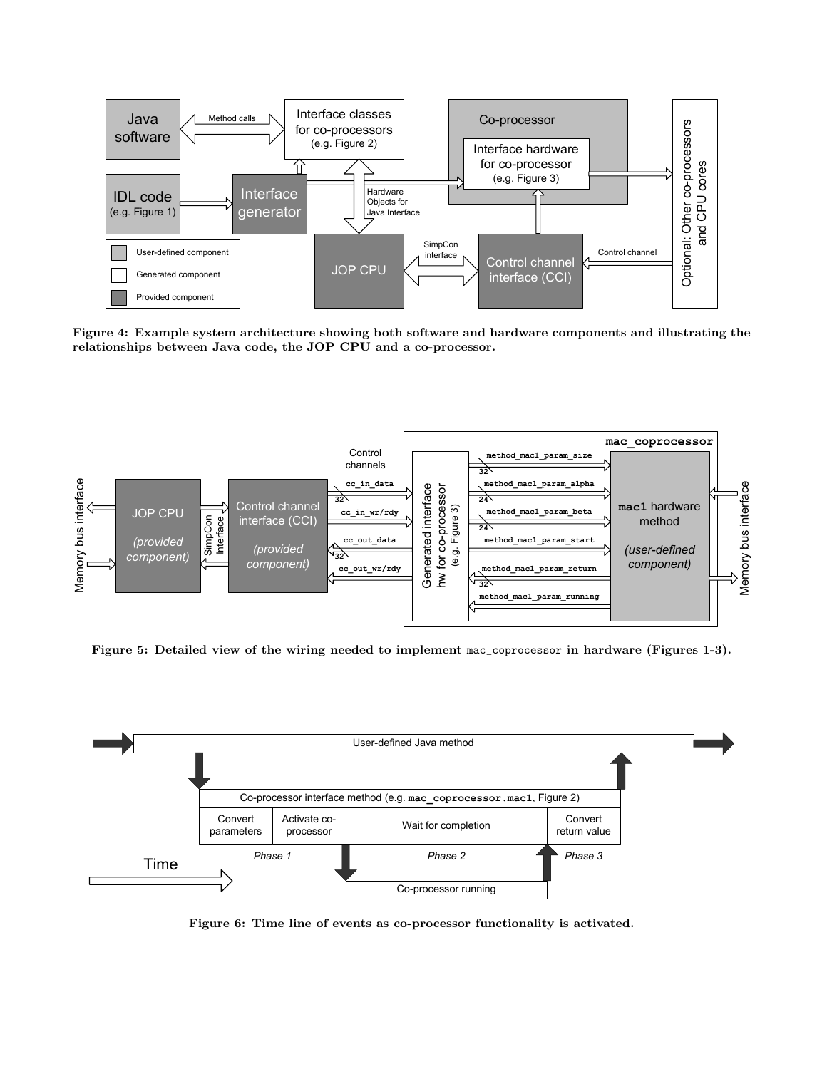

Figure 4: Example system architecture showing both software and hardware components and illustrating the Java rigure 4: Example system arcmeeture showing both software and helphology relationships between Java code, the JOP CPU and a co-processor. showing both softwa



Figure 5: Detailed view of the wiring needed to implement mac\_coprocessor in hardware (Figures 1-3).



Figure 6: Time line of events as co-processor functionality is activated.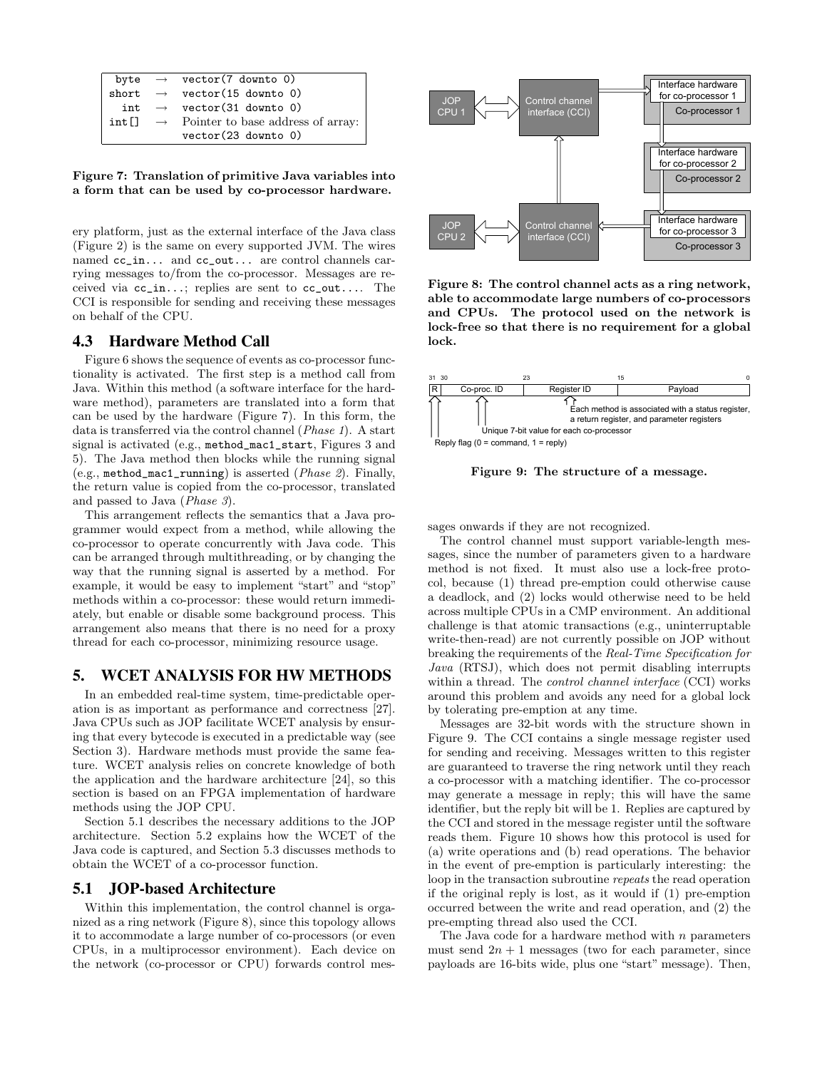|                   | byte $\rightarrow$ vector(7 downto 0)           |
|-------------------|-------------------------------------------------|
|                   | short $\rightarrow$ vector(15 downto 0)         |
|                   | int $\rightarrow$ vector (31 downto 0)          |
| int <sup>[]</sup> | $\rightarrow$ Pointer to base address of array: |
|                   | $vector(23$ downto 0)                           |
|                   |                                                 |
|                   |                                                 |

Figure 7: Translation of primitive Java variables into<br>a form that can be used by so prosessor hardware a form that can be used by co-processor hardware. ptio

ery platform, just as the external interface of the Java class n (Figure 2) is the same on every supported JVM. The wires ptio named cc\_in... and cc\_out... are control channels carrying messages to/from the co-processor. Messages are received via  $cc_in...$ ; replies are sent to  $cc_out...$  The CCI is responsible for sending and receiving these messages on behalf of the CPU. interface Control channels

### 4.3 Hardware Method Call

Figure 6 shows the sequence of events as co-processor functionality is activated. The first step is a method call from Java. Within this method (a software interface for the hardware method), parameters are translated into a form that can be used by the hardware (Figure 7). In this form, the data is transferred via the control channel (Phase 1). A start signal is activated (e.g., method\_mac1\_start, Figures 3 and 5). The Java method then blocks while the running signal (e.g., method\_mac1\_running) is asserted (Phase 2). Finally, the return value is copied from the co-processor, translated and passed to Java (Phase 3). Co-processor running

> This arrangement reflects the semantics that a Java programmer would expect from a method, while allowing the co-processor to operate concurrently with Java code. This can be arranged through multithreading, or by changing the way that the running signal is asserted by a method. For example, it would be easy to implement "start" and "stop" methods within a co-processor: these would return immediately, but enable or disable some background process. This earrangement also means that there is no need for a proxy arrangement also means that there is no need for a proxy<br>thread for each co-processor, minimizing resource usage.  $\frac{1}{\sqrt{2}}$

#### 5. WCET ANALYSIS FOR HW METHODS *component) xsis for hw m*

In an embedded real-time system, time-predictable operation is as important as performance and correctness [27]. Java CPUs such as JOP facilitate WCET analysis by ensuring that every bytecode is executed in a predictable way (see Section 3). Hardware methods must provide the same feature. WCET analysis relies on concrete knowledge of both the application and the hardware architecture [24], so this section is based on an FPGA implementation of hardware methods using the JOP CPU.

ethods using the JOP CPU.<br>Section 5.1 describes the necessary additions to the JOP architecture. Section 5.2 explains how the WCET of the darchitecture. Section 5.2 explains how the WCET of the Java code is captured, and Section 5.3 discusses methods to obtain the WCET of a co-processor function. botain the WCET of a co-processor function.  $\frac{1}{2}$  interface  $\frac{1}{2}$ *componential*  $\text{WCET}$  of a co-processor function p<br>he Section 5.1 describes the necessary additions to the  $\frac{1}{2}$ c.

#### 5.1 JOP-based Architecture

Within this implementation, the control channel is organized as a ring network (Figure 8), since this topology allows it to accommodate a large number of co-processors (or even CPUs, in a multiprocessor environment). Each device on the network (co-processor or CPU) forwards control mes-



and CPUs. The protocol used on the network is able to accommodate large numbers of co-processors lock-free so that there is no requirement for a global .<br>Figure 8: The control channel acts as a ring network, lock. ire 8: Ine con



Figure 9: The structure of a message.

sages onwards if they are not recognized.

m-read) are not currently possible on JOF<br>the requirements of the *Real-Time Specific* breaking the requirements of the *Real-Time Specification for*<br>*Jana* (RTSJ), which does not permit disabling interrupts rsJ), which does not permit disabling *Java* (RTSJ), which does not permit disabling interrupts<br>within a thread. The *control channel interface* (CCI) works<br>around this problem and avoids any need for a global lock col, because (1) thread pre-emption could otherwise cause his problem and avoids any need for a global lock by tolerating pre-emption at any time. challenge is that atomic transactions (e.g., uninterruptable read) are not currently possible on JOP without e requirements of the *Real-Time Specification fo* red<br>,<br>ad Java (RTSJ), which does not permit disabling interrupts a deadlock, and (2) locks would otherwise need to be held write-then-read) are not currently possible on JOP without  $\alpha$  across multiple CPUs in a CMP environment. An additional **32 cound** this problem and avoids any need for a global lock The control channel must support variable-length messages, since the number of parameters given to a hardware method is not fixed. It must also use a lock-free proto-

identifier, but the reply bit will be 1. Replies are captured by the CCI and stored in the message register until the software (a) write operations and (b) read operations. The behavior<br>the event of pre-emption is particularly interesting: the m the event of pre-emption is particularly interesting. the loop in the transaction subroutine *repeats* the read operation **magine 3.** The CCT contains a single message register used<br>for sending and receiving. Messages written to this register  $\frac{1}{2}$ occurred between the write and read operation, and (2) the if the original reply is lost, as it would if (1) pre-emption (a) write operations and (b) read operations. The behavior identifier, but the reply bit will be 1. Replies are captured by the CCI and stored in the message register until the software reads them. Figure 10 shows how this protocol is used for may generate a message in reply; this will have the same are guaranteed to traverse the ring network until they reach **32** a co-processor with a matching identifier. The co-processor Messages are 32-bit words with the structure shown in Figure 9. The CCI contains a single message register used pre-empting thread also used the CCI.

The Java code for a hardware method with  $n$  parameters must send  $2n + 1$  messages (two for each parameter, since payloads are 16-bits wide, plus one "start" message). Then,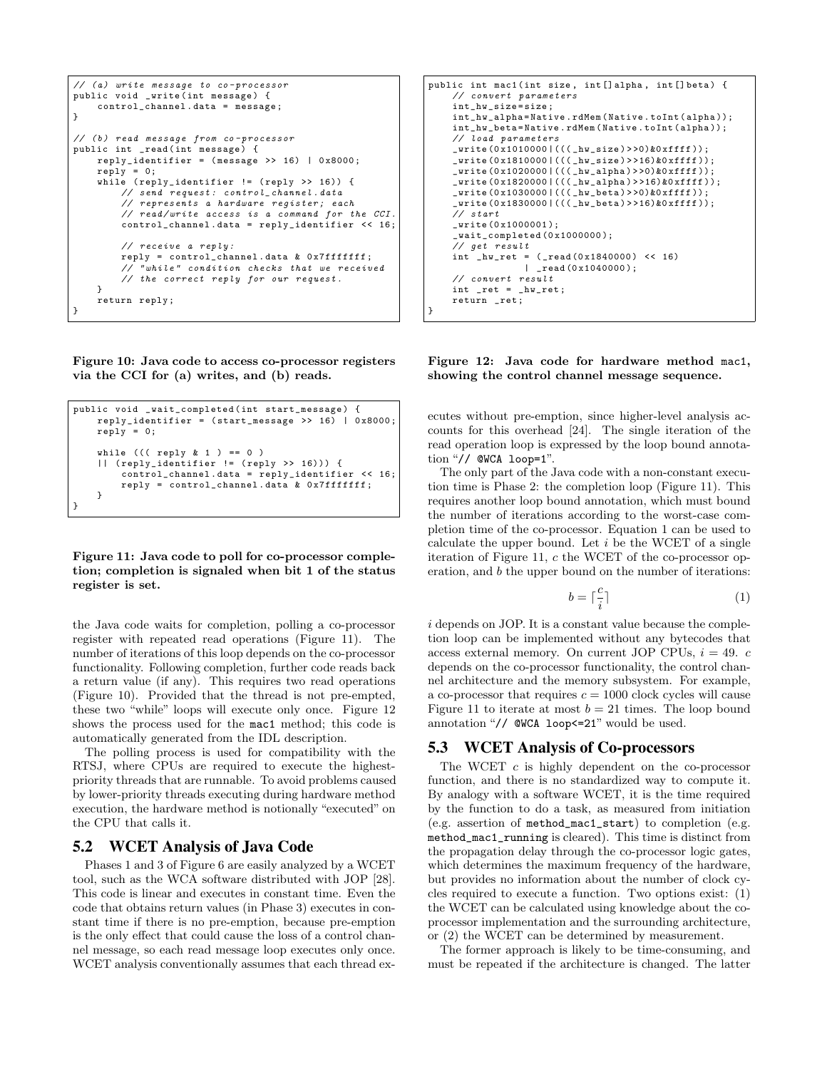```
// (a) write message to co-processor
public void _write ( int message ) {
    control_channel . data = message ;
}
// (b) read message from co-processor
public int _read ( int message ) {
    reply_identifier = (mesage >> 16) | 0x8000;
    reply = 0;while ( reply_identifier != ( reply >> 16)) {
        // send request: control_{channel}.data// represents a hardware register; each
        // read / write access is a command for the CCI .
        control_channel . data = reply_identifier << 16;
        // receive a reply :
        reply = control_{channel.data} & 0x7fffffff;
        // " while " condition checks that we received
        // the correct reply for our request .
    }
    return reply ;
}
```
Figure 10: Java code to access co-processor registers via the CCI for (a) writes, and (b) reads.

```
public void _wait_completed ( int start_message ) {
    reply\_identifier = (start\_message \gg 16) | 0x8000;
    reply = 0;while ((( \text{reply } k 1 ) == 0 )|| ( reply_identifier != ( reply >> 16))) {
        control_channel . data = reply_identifier << 16;
        reply = control_channel . data & 0 x7fffffff ;
    }
}
```
Figure 11: Java code to poll for co-processor completion; completion is signaled when bit 1 of the status register is set.

the Java code waits for completion, polling a co-processor register with repeated read operations (Figure 11). The number of iterations of this loop depends on the co-processor functionality. Following completion, further code reads back a return value (if any). This requires two read operations (Figure 10). Provided that the thread is not pre-empted, these two "while" loops will execute only once. Figure 12 shows the process used for the mac1 method; this code is automatically generated from the IDL description.

The polling process is used for compatibility with the RTSJ, where CPUs are required to execute the highestpriority threads that are runnable. To avoid problems caused by lower-priority threads executing during hardware method execution, the hardware method is notionally "executed" on the CPU that calls it.

#### 5.2 WCET Analysis of Java Code

Phases 1 and 3 of Figure 6 are easily analyzed by a WCET tool, such as the WCA software distributed with JOP [28]. This code is linear and executes in constant time. Even the code that obtains return values (in Phase 3) executes in constant time if there is no pre-emption, because pre-emption is the only effect that could cause the loss of a control channel message, so each read message loop executes only once. WCET analysis conventionally assumes that each thread ex-

```
public int mac1(int size, int[]alpha, int[]beta) {
     // convert parameters
     int_hw_size = size ;
     int_hw_alpha = Native . rdMem ( Native . toInt ( alpha ));
     int_hw_beta = Native . rdMem ( Native . toInt ( alpha ));
     // load parameters
     _write (0 x1010000 |((( _hw_size ) > >0)&0 xffff ));
     _write (0 x1810000 |((( _hw_size ) > >16)&0 xffff ));
     _write (0 x1020000 |((( _hw_alpha ) > >0)&0 xffff ));
     _write (0 x1820000 |((( _hw_alpha ) > >16)&0 xffff ));
     _write (0 x1030000 |((( _hw_beta ) > >0)&0 xffff ));
     _write (0 x1830000 |((( _hw_beta ) > >16)&0 xffff ));
     // start
     _write (0 x1000001 );
     _ wait_ completed (0 x 1 0 0 0 0 0 0);
     // get result
     int_{\text{hw}_{\text{ref}}} = (-\text{read}(0x1840000) << 16)| _read (0 x1040000 );
     // convert result
     int _{\text{ret}} = _{\text{hw\_ret}};
     return _ret ;
}
```
Figure 12: Java code for hardware method mac1, showing the control channel message sequence.

ecutes without pre-emption, since higher-level analysis accounts for this overhead [24]. The single iteration of the read operation loop is expressed by the loop bound annotation "// @WCA loop=1".

The only part of the Java code with a non-constant execution time is Phase 2: the completion loop (Figure 11). This requires another loop bound annotation, which must bound the number of iterations according to the worst-case completion time of the co-processor. Equation 1 can be used to calculate the upper bound. Let  $i$  be the WCET of a single iteration of Figure 11,  $c$  the WCET of the co-processor operation, and b the upper bound on the number of iterations:

$$
b = \lceil \frac{c}{i} \rceil \tag{1}
$$

i depends on JOP. It is a constant value because the completion loop can be implemented without any bytecodes that access external memory. On current JOP CPUs,  $i = 49$ . c depends on the co-processor functionality, the control channel architecture and the memory subsystem. For example, a co-processor that requires  $c = 1000$  clock cycles will cause Figure 11 to iterate at most  $b = 21$  times. The loop bound annotation "// @WCA loop<=21" would be used.

#### 5.3 WCET Analysis of Co-processors

The WCET  $c$  is highly dependent on the co-processor function, and there is no standardized way to compute it. By analogy with a software WCET, it is the time required by the function to do a task, as measured from initiation (e.g. assertion of method\_mac1\_start) to completion (e.g. method\_mac1\_running is cleared). This time is distinct from the propagation delay through the co-processor logic gates, which determines the maximum frequency of the hardware, but provides no information about the number of clock cycles required to execute a function. Two options exist: (1) the WCET can be calculated using knowledge about the coprocessor implementation and the surrounding architecture, or (2) the WCET can be determined by measurement.

The former approach is likely to be time-consuming, and must be repeated if the architecture is changed. The latter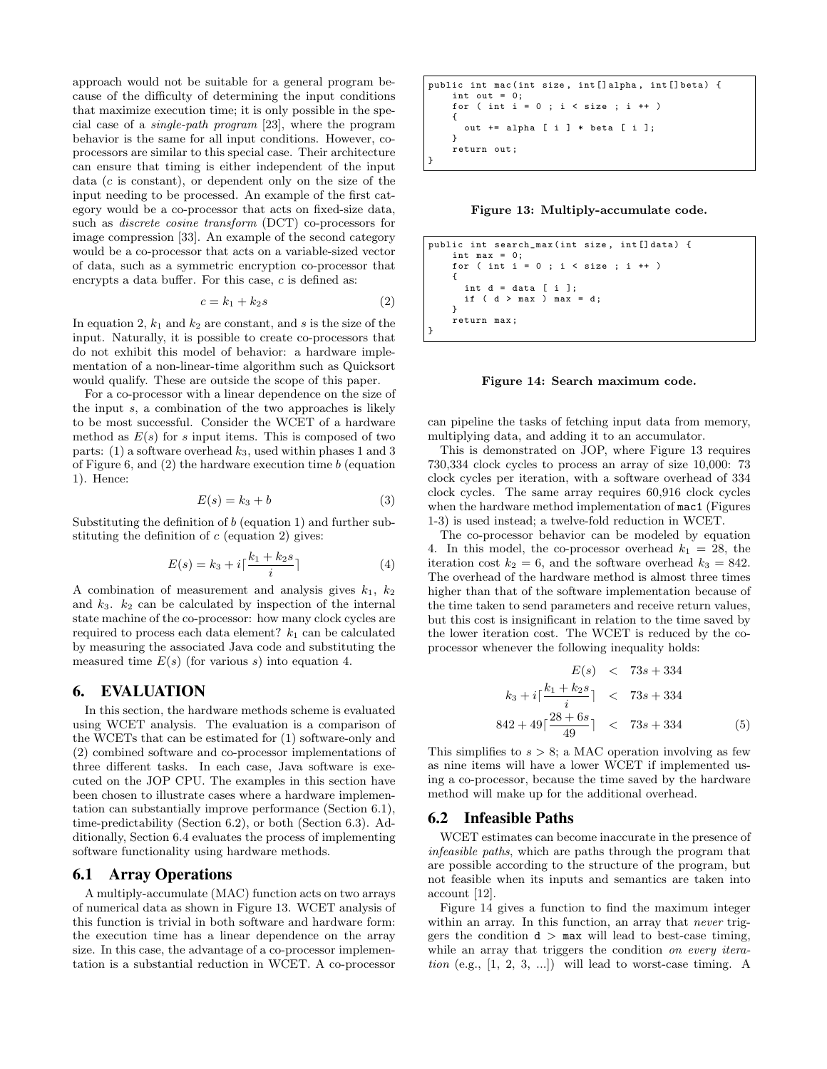approach would not be suitable for a general program because of the difficulty of determining the input conditions that maximize execution time; it is only possible in the special case of a single-path program [23], where the program behavior is the same for all input conditions. However, coprocessors are similar to this special case. Their architecture can ensure that timing is either independent of the input data (c is constant), or dependent only on the size of the input needing to be processed. An example of the first category would be a co-processor that acts on fixed-size data, such as discrete cosine transform (DCT) co-processors for image compression [33]. An example of the second category would be a co-processor that acts on a variable-sized vector of data, such as a symmetric encryption co-processor that encrypts a data buffer. For this case,  $c$  is defined as:

$$
c = k_1 + k_2 s \tag{2}
$$

In equation 2,  $k_1$  and  $k_2$  are constant, and s is the size of the input. Naturally, it is possible to create co-processors that do not exhibit this model of behavior: a hardware implementation of a non-linear-time algorithm such as Quicksort would qualify. These are outside the scope of this paper.

For a co-processor with a linear dependence on the size of the input s, a combination of the two approaches is likely to be most successful. Consider the WCET of a hardware method as  $E(s)$  for s input items. This is composed of two parts: (1) a software overhead  $k_3$ , used within phases 1 and 3 of Figure 6, and  $(2)$  the hardware execution time b (equation 1). Hence:

$$
E(s) = k_3 + b \tag{3}
$$

Substituting the definition of b (equation 1) and further substituting the definition of  $c$  (equation 2) gives:

$$
E(s) = k_3 + i\lceil \frac{k_1 + k_2 s}{i} \rceil \tag{4}
$$

A combination of measurement and analysis gives  $k_1$ ,  $k_2$ and  $k_3$ .  $k_2$  can be calculated by inspection of the internal state machine of the co-processor: how many clock cycles are required to process each data element?  $k_1$  can be calculated by measuring the associated Java code and substituting the measured time  $E(s)$  (for various s) into equation 4.

### 6. EVALUATION

In this section, the hardware methods scheme is evaluated using WCET analysis. The evaluation is a comparison of the WCETs that can be estimated for (1) software-only and (2) combined software and co-processor implementations of three different tasks. In each case, Java software is executed on the JOP CPU. The examples in this section have been chosen to illustrate cases where a hardware implementation can substantially improve performance (Section 6.1), time-predictability (Section 6.2), or both (Section 6.3). Additionally, Section 6.4 evaluates the process of implementing software functionality using hardware methods.

#### 6.1 Array Operations

A multiply-accumulate (MAC) function acts on two arrays of numerical data as shown in Figure 13. WCET analysis of this function is trivial in both software and hardware form: the execution time has a linear dependence on the array size. In this case, the advantage of a co-processor implementation is a substantial reduction in WCET. A co-processor

public int mac ( int size , int [] alpha , int [] beta ) { int out = 0; for ( int i = 0 ; i < size ; i ++ ) { out += alpha [ i ] \* beta [ i ]; } return out ; }

Figure 13: Multiply-accumulate code.

```
public int search_max ( int size , int [] data ) {
    int max = 0;<br>for ( int i =
                    0; i < size; i ++ )
    {
      int d = data [i];
      if (d > max) max = d;
    }
    return max ;
}
```
Figure 14: Search maximum code.

can pipeline the tasks of fetching input data from memory, multiplying data, and adding it to an accumulator.

This is demonstrated on JOP, where Figure 13 requires 730,334 clock cycles to process an array of size 10,000: 73 clock cycles per iteration, with a software overhead of 334 clock cycles. The same array requires 60,916 clock cycles when the hardware method implementation of mac1 (Figures 1-3) is used instead; a twelve-fold reduction in WCET.

The co-processor behavior can be modeled by equation 4. In this model, the co-processor overhead  $k_1 = 28$ , the iteration cost  $k_2 = 6$ , and the software overhead  $k_3 = 842$ . The overhead of the hardware method is almost three times higher than that of the software implementation because of the time taken to send parameters and receive return values, but this cost is insignificant in relation to the time saved by the lower iteration cost. The WCET is reduced by the coprocessor whenever the following inequality holds:

$$
E(s) < 73s + 334
$$
\n
$$
k_3 + i\left[\frac{k_1 + k_2s}{i}\right] < 73s + 334
$$
\n
$$
842 + 49\left[\frac{28 + 6s}{49}\right] < 73s + 334 \tag{5}
$$

This simplifies to  $s > 8$ ; a MAC operation involving as few as nine items will have a lower WCET if implemented using a co-processor, because the time saved by the hardware method will make up for the additional overhead.

#### 6.2 Infeasible Paths

WCET estimates can become inaccurate in the presence of infeasible paths, which are paths through the program that are possible according to the structure of the program, but not feasible when its inputs and semantics are taken into account [12].

Figure 14 gives a function to find the maximum integer within an array. In this function, an array that *never* triggers the condition  $d$  > max will lead to best-case timing, while an array that triggers the condition on every iteration (e.g.,  $[1, 2, 3, ...]$ ) will lead to worst-case timing. A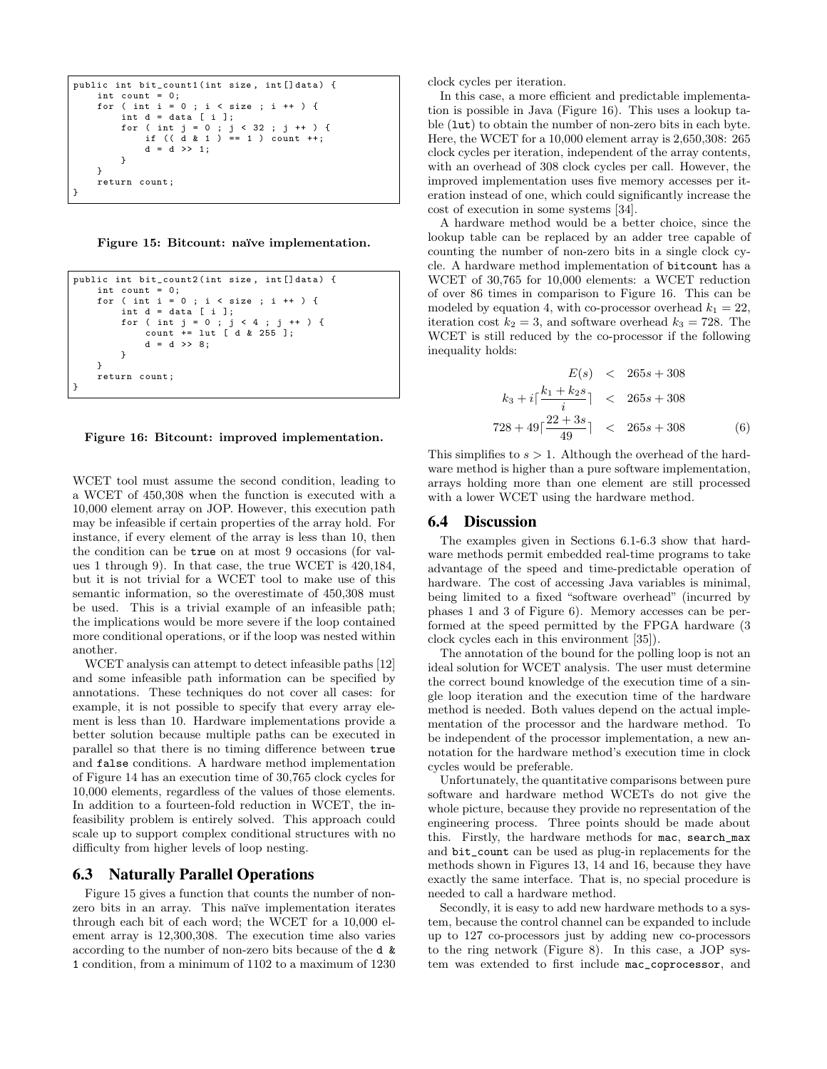```
public int bit_count1(int size, int[]data) {
    int count = 0;
    for ( int i = 0 ; i < size ; i + ) {
        int d = data [i];for ( int j = 0 ; j < 32 ; j + 1) {
            if (( d k 1 ) == 1 ) count ++;d = d \implies 1;}
    }
    return count ;
}
```
Figure 15: Bitcount: naïve implementation.

```
public int bit_count2 ( int size , int [] data ) {
        int count = 0;<br>for ( int i =\begin{bmatrix} 1 & 1 \\ 0 & 1 \end{bmatrix} ( \begin{bmatrix} 1 & 1 \\ 0 & 1 \end{bmatrix} \begin{bmatrix} 1 & 1 \\ 0 & 1 \end{bmatrix} + \begin{bmatrix} 1 & 1 \\ 0 & 1 \end{bmatrix}int d = data [ i ];
                 for ( int j = 0 ; j < 4 ; j ++ ) {
count += lut [ d & 255 ];
                         d = d \gg 8;
                 }
        }
        return count ;
}
```
Figure 16: Bitcount: improved implementation.

WCET tool must assume the second condition, leading to a WCET of 450,308 when the function is executed with a 10,000 element array on JOP. However, this execution path may be infeasible if certain properties of the array hold. For instance, if every element of the array is less than 10, then the condition can be true on at most 9 occasions (for values 1 through 9). In that case, the true WCET is 420,184, but it is not trivial for a WCET tool to make use of this semantic information, so the overestimate of 450,308 must be used. This is a trivial example of an infeasible path; the implications would be more severe if the loop contained more conditional operations, or if the loop was nested within another.

WCET analysis can attempt to detect infeasible paths [12] and some infeasible path information can be specified by annotations. These techniques do not cover all cases: for example, it is not possible to specify that every array element is less than 10. Hardware implementations provide a better solution because multiple paths can be executed in parallel so that there is no timing difference between true and false conditions. A hardware method implementation of Figure 14 has an execution time of 30,765 clock cycles for 10,000 elements, regardless of the values of those elements. In addition to a fourteen-fold reduction in WCET, the infeasibility problem is entirely solved. This approach could scale up to support complex conditional structures with no difficulty from higher levels of loop nesting.

#### 6.3 Naturally Parallel Operations

Figure 15 gives a function that counts the number of nonzero bits in an array. This naïve implementation iterates through each bit of each word; the WCET for a 10,000 element array is 12,300,308. The execution time also varies according to the number of non-zero bits because of the d & 1 condition, from a minimum of 1102 to a maximum of 1230 clock cycles per iteration.

In this case, a more efficient and predictable implementation is possible in Java (Figure 16). This uses a lookup table (lut) to obtain the number of non-zero bits in each byte. Here, the WCET for a 10,000 element array is 2,650,308: 265 clock cycles per iteration, independent of the array contents, with an overhead of 308 clock cycles per call. However, the improved implementation uses five memory accesses per iteration instead of one, which could significantly increase the cost of execution in some systems [34].

A hardware method would be a better choice, since the lookup table can be replaced by an adder tree capable of counting the number of non-zero bits in a single clock cycle. A hardware method implementation of bitcount has a WCET of 30,765 for 10,000 elements: a WCET reduction of over 86 times in comparison to Figure 16. This can be modeled by equation 4, with co-processor overhead  $k_1 = 22$ , iteration cost  $k_2 = 3$ , and software overhead  $k_3 = 728$ . The WCET is still reduced by the co-processor if the following inequality holds:

$$
E(s) < 265s + 308
$$
\n
$$
k_3 + i \lceil \frac{k_1 + k_2 s}{i} \rceil < 265s + 308
$$
\n
$$
728 + 49 \lceil \frac{22 + 3s}{49} \rceil < 265s + 308 \tag{6}
$$

This simplifies to  $s > 1$ . Although the overhead of the hardware method is higher than a pure software implementation, arrays holding more than one element are still processed with a lower WCET using the hardware method.

#### 6.4 Discussion

The examples given in Sections 6.1-6.3 show that hardware methods permit embedded real-time programs to take advantage of the speed and time-predictable operation of hardware. The cost of accessing Java variables is minimal, being limited to a fixed "software overhead" (incurred by phases 1 and 3 of Figure 6). Memory accesses can be performed at the speed permitted by the FPGA hardware (3 clock cycles each in this environment [35]).

The annotation of the bound for the polling loop is not an ideal solution for WCET analysis. The user must determine the correct bound knowledge of the execution time of a single loop iteration and the execution time of the hardware method is needed. Both values depend on the actual implementation of the processor and the hardware method. To be independent of the processor implementation, a new annotation for the hardware method's execution time in clock cycles would be preferable.

Unfortunately, the quantitative comparisons between pure software and hardware method WCETs do not give the whole picture, because they provide no representation of the engineering process. Three points should be made about this. Firstly, the hardware methods for mac, search\_max and bit\_count can be used as plug-in replacements for the methods shown in Figures 13, 14 and 16, because they have exactly the same interface. That is, no special procedure is needed to call a hardware method.

Secondly, it is easy to add new hardware methods to a system, because the control channel can be expanded to include up to 127 co-processors just by adding new co-processors to the ring network (Figure 8). In this case, a JOP system was extended to first include mac\_coprocessor, and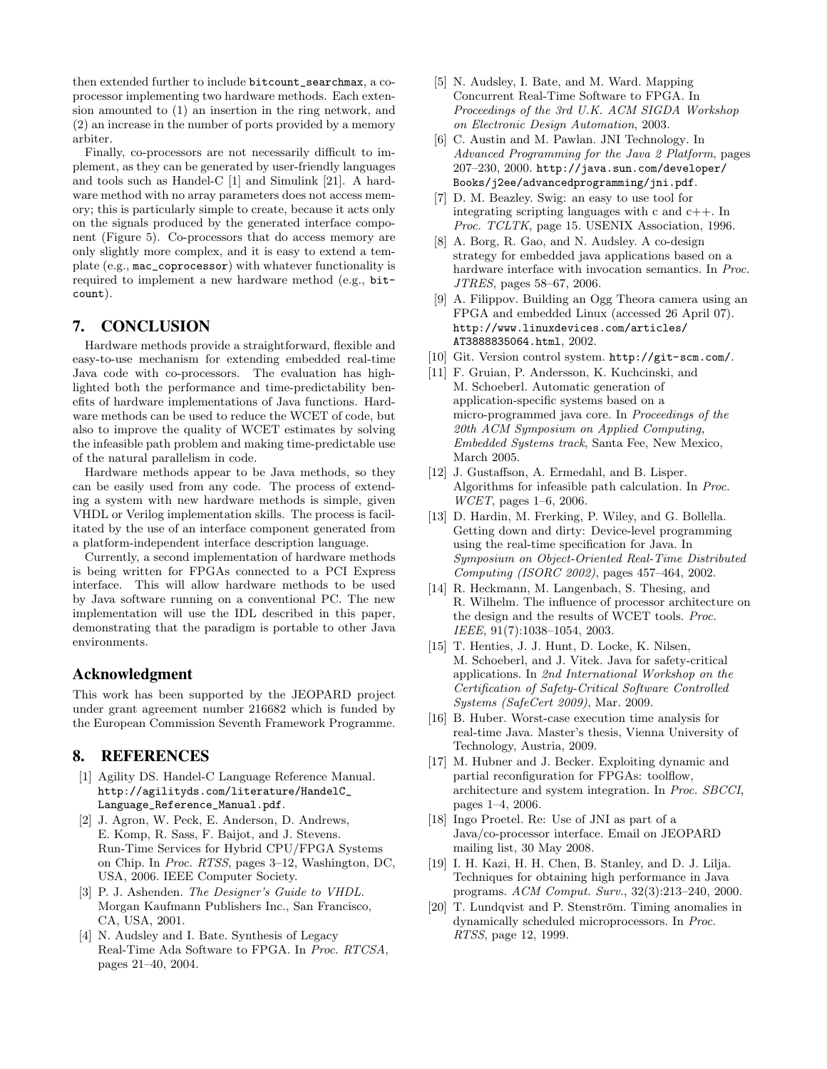then extended further to include bitcount\_searchmax, a coprocessor implementing two hardware methods. Each extension amounted to (1) an insertion in the ring network, and (2) an increase in the number of ports provided by a memory arbiter.

Finally, co-processors are not necessarily difficult to implement, as they can be generated by user-friendly languages and tools such as Handel-C [1] and Simulink [21]. A hardware method with no array parameters does not access memory; this is particularly simple to create, because it acts only on the signals produced by the generated interface component (Figure 5). Co-processors that do access memory are only slightly more complex, and it is easy to extend a template (e.g., mac\_coprocessor) with whatever functionality is required to implement a new hardware method (e.g., bitcount).

# 7. CONCLUSION

Hardware methods provide a straightforward, flexible and easy-to-use mechanism for extending embedded real-time Java code with co-processors. The evaluation has highlighted both the performance and time-predictability benefits of hardware implementations of Java functions. Hardware methods can be used to reduce the WCET of code, but also to improve the quality of WCET estimates by solving the infeasible path problem and making time-predictable use of the natural parallelism in code.

Hardware methods appear to be Java methods, so they can be easily used from any code. The process of extending a system with new hardware methods is simple, given VHDL or Verilog implementation skills. The process is facilitated by the use of an interface component generated from a platform-independent interface description language.

Currently, a second implementation of hardware methods is being written for FPGAs connected to a PCI Express interface. This will allow hardware methods to be used by Java software running on a conventional PC. The new implementation will use the IDL described in this paper, demonstrating that the paradigm is portable to other Java environments.

#### Acknowledgment

This work has been supported by the JEOPARD project under grant agreement number 216682 which is funded by the European Commission Seventh Framework Programme.

# 8. REFERENCES

- [1] Agility DS. Handel-C Language Reference Manual. http://agilityds.com/literature/HandelC\_ Language\_Reference\_Manual.pdf.
- [2] J. Agron, W. Peck, E. Anderson, D. Andrews, E. Komp, R. Sass, F. Baijot, and J. Stevens. Run-Time Services for Hybrid CPU/FPGA Systems on Chip. In Proc. RTSS, pages 3–12, Washington, DC, USA, 2006. IEEE Computer Society.
- [3] P. J. Ashenden. The Designer's Guide to VHDL. Morgan Kaufmann Publishers Inc., San Francisco, CA, USA, 2001.
- [4] N. Audsley and I. Bate. Synthesis of Legacy Real-Time Ada Software to FPGA. In Proc. RTCSA, pages 21–40, 2004.
- [5] N. Audsley, I. Bate, and M. Ward. Mapping Concurrent Real-Time Software to FPGA. In Proceedings of the 3rd U.K. ACM SIGDA Workshop on Electronic Design Automation, 2003.
- [6] C. Austin and M. Pawlan. JNI Technology. In Advanced Programming for the Java 2 Platform, pages 207–230, 2000. http://java.sun.com/developer/ Books/j2ee/advancedprogramming/jni.pdf.
- [7] D. M. Beazley. Swig: an easy to use tool for integrating scripting languages with c and c++. In Proc. TCLTK, page 15. USENIX Association, 1996.
- [8] A. Borg, R. Gao, and N. Audsley. A co-design strategy for embedded java applications based on a hardware interface with invocation semantics. In Proc. JTRES, pages 58–67, 2006.
- [9] A. Filippov. Building an Ogg Theora camera using an FPGA and embedded Linux (accessed 26 April 07). http://www.linuxdevices.com/articles/ AT3888835064.html, 2002.
- [10] Git. Version control system. http://git-scm.com/.
- [11] F. Gruian, P. Andersson, K. Kuchcinski, and M. Schoeberl. Automatic generation of application-specific systems based on a micro-programmed java core. In Proceedings of the 20th ACM Symposium on Applied Computing, Embedded Systems track, Santa Fee, New Mexico, March 2005.
- [12] J. Gustaffson, A. Ermedahl, and B. Lisper. Algorithms for infeasible path calculation. In Proc. WCET, pages 1–6, 2006.
- [13] D. Hardin, M. Frerking, P. Wiley, and G. Bollella. Getting down and dirty: Device-level programming using the real-time specification for Java. In Symposium on Object-Oriented Real-Time Distributed Computing (ISORC 2002), pages 457–464, 2002.
- [14] R. Heckmann, M. Langenbach, S. Thesing, and R. Wilhelm. The influence of processor architecture on the design and the results of WCET tools. Proc. IEEE, 91(7):1038–1054, 2003.
- [15] T. Henties, J. J. Hunt, D. Locke, K. Nilsen, M. Schoeberl, and J. Vitek. Java for safety-critical applications. In 2nd International Workshop on the Certification of Safety-Critical Software Controlled Systems (SafeCert 2009), Mar. 2009.
- [16] B. Huber. Worst-case execution time analysis for real-time Java. Master's thesis, Vienna University of Technology, Austria, 2009.
- [17] M. Hubner and J. Becker. Exploiting dynamic and partial reconfiguration for FPGAs: toolflow, architecture and system integration. In Proc. SBCCI, pages 1–4, 2006.
- [18] Ingo Proetel. Re: Use of JNI as part of a Java/co-processor interface. Email on JEOPARD mailing list, 30 May 2008.
- [19] I. H. Kazi, H. H. Chen, B. Stanley, and D. J. Lilja. Techniques for obtaining high performance in Java programs. ACM Comput. Surv., 32(3):213–240, 2000.
- [20] T. Lundqvist and P. Stenström. Timing anomalies in dynamically scheduled microprocessors. In Proc. RTSS, page 12, 1999.